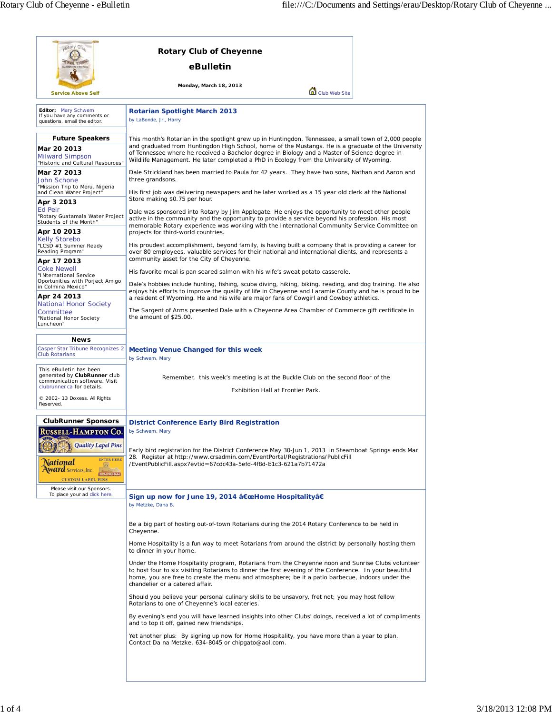| cotary Clus                                                                                                                                                                                                                                                                                               | <b>Rotary Club of Cheyenne</b>                                                                                                                                                                                                                                                                                                                                                                                                                                                                                                                                                                                                                                           |  |  |
|-----------------------------------------------------------------------------------------------------------------------------------------------------------------------------------------------------------------------------------------------------------------------------------------------------------|--------------------------------------------------------------------------------------------------------------------------------------------------------------------------------------------------------------------------------------------------------------------------------------------------------------------------------------------------------------------------------------------------------------------------------------------------------------------------------------------------------------------------------------------------------------------------------------------------------------------------------------------------------------------------|--|--|
|                                                                                                                                                                                                                                                                                                           | eBulletin                                                                                                                                                                                                                                                                                                                                                                                                                                                                                                                                                                                                                                                                |  |  |
| <b>Service Above Self</b>                                                                                                                                                                                                                                                                                 | Monday, March 18, 2013<br>Club Web Site                                                                                                                                                                                                                                                                                                                                                                                                                                                                                                                                                                                                                                  |  |  |
| Editor: Mary Schwem<br>If you have any comments or<br>questions, email the editor.                                                                                                                                                                                                                        | <b>Rotarian Spotlight March 2013</b><br>by LaBonde, Jr., Harry                                                                                                                                                                                                                                                                                                                                                                                                                                                                                                                                                                                                           |  |  |
| <b>Future Speakers</b><br>Mar 20 2013<br><b>Milward Simpson</b><br>"Historic and Cultural Resources"                                                                                                                                                                                                      | This month's Rotarian in the spotlight grew up in Huntingdon, Tennessee, a small town of 2,000 people<br>and graduated from Huntingdon High School, home of the Mustangs. He is a graduate of the University<br>of Tennessee where he received a Bachelor degree in Biology and a Master of Science degree in<br>Wildlife Management. He later completed a PhD in Ecology from the University of Wyoming.<br>Dale Strickland has been married to Paula for 42 years. They have two sons, Nathan and Aaron and<br>three grandsons.<br>His first job was delivering newspapers and he later worked as a 15 year old clerk at the National<br>Store making \$0.75 per hour. |  |  |
| Mar 27 2013<br>John Schone                                                                                                                                                                                                                                                                                |                                                                                                                                                                                                                                                                                                                                                                                                                                                                                                                                                                                                                                                                          |  |  |
| "Mission Trip to Meru, Nigeria<br>and Clean Water Project"<br>Apr 3 2013                                                                                                                                                                                                                                  |                                                                                                                                                                                                                                                                                                                                                                                                                                                                                                                                                                                                                                                                          |  |  |
| <b>Ed Peir</b><br>"Rotary Guatamala Water Project<br>Students of the Month"<br>Apr 10 2013                                                                                                                                                                                                                | Dale was sponsored into Rotary by Jim Applegate. He enjoys the opportunity to meet other people<br>active in the community and the opportunity to provide a service beyond his profession. His most<br>memorable Rotary experience was working with the International Community Service Committee on<br>projects for third-world countries.                                                                                                                                                                                                                                                                                                                              |  |  |
| <b>Kelly Storebo</b><br>"LCSD #1 Summer Ready<br>Reading Program"                                                                                                                                                                                                                                         | His proudest accomplishment, beyond family, is having built a company that is providing a career for<br>over 80 employees, valuable services for their national and international clients, and represents a<br>community asset for the City of Cheyenne.                                                                                                                                                                                                                                                                                                                                                                                                                 |  |  |
| Apr 17 2013<br><b>Coke Newell</b><br>"INternational Service                                                                                                                                                                                                                                               | His favorite meal is pan seared salmon with his wife's sweat potato casserole.<br>Dale's hobbies include hunting, fishing, scuba diving, hiking, biking, reading, and dog training. He also<br>enjoys his efforts to improve the quality of life in Cheyenne and Laramie County and he is proud to be<br>a resident of Wyoming. He and his wife are major fans of Cowgirl and Cowboy athletics.                                                                                                                                                                                                                                                                          |  |  |
| Oportunities with Porject Amigo<br>in Colmina Mexico"<br>Apr 24 2013                                                                                                                                                                                                                                      |                                                                                                                                                                                                                                                                                                                                                                                                                                                                                                                                                                                                                                                                          |  |  |
| National Honor Society<br>Committee<br>"National Honor Society                                                                                                                                                                                                                                            | The Sargent of Arms presented Dale with a Cheyenne Area Chamber of Commerce gift certificate in<br>the amount of \$25.00.                                                                                                                                                                                                                                                                                                                                                                                                                                                                                                                                                |  |  |
| Luncheon"                                                                                                                                                                                                                                                                                                 |                                                                                                                                                                                                                                                                                                                                                                                                                                                                                                                                                                                                                                                                          |  |  |
| <b>News</b><br>Casper Star Tribune Recognizes 2<br><b>Club Rotarians</b>                                                                                                                                                                                                                                  | <b>Meeting Venue Changed for this week</b><br>by Schwem, Mary                                                                                                                                                                                                                                                                                                                                                                                                                                                                                                                                                                                                            |  |  |
| This eBulletin has been<br>generated by ClubRunner club<br>communication software. Visit                                                                                                                                                                                                                  | Remember, this week's meeting is at the Buckle Club on the second floor of the                                                                                                                                                                                                                                                                                                                                                                                                                                                                                                                                                                                           |  |  |
| clubrunner.ca for details.<br>© 2002-13 Doxess. All Rights<br>Reserved.                                                                                                                                                                                                                                   | Exhibition Hall at Frontier Park.                                                                                                                                                                                                                                                                                                                                                                                                                                                                                                                                                                                                                                        |  |  |
|                                                                                                                                                                                                                                                                                                           |                                                                                                                                                                                                                                                                                                                                                                                                                                                                                                                                                                                                                                                                          |  |  |
| <b>ClubRunner Sponsors</b><br><b>RUSSELL-HAMPTON CO.</b><br><b>Quality Lapel Pins</b>                                                                                                                                                                                                                     | District Conference Early Bird Registration<br>by Schwem, Mary                                                                                                                                                                                                                                                                                                                                                                                                                                                                                                                                                                                                           |  |  |
| <b>ENTER HERE</b><br>ational<br><b>Ward</b> Services, Inc.<br><b>BIRMINGHAM</b><br><b>CUSTOM LAPEL PINS</b><br>Please visit our Sponsors.                                                                                                                                                                 | Early bird registration for the District Conference May 30-Jun 1, 2013 in Steamboat Springs ends Mar<br>28. Register at http://www.crsadmin.com/EventPortal/Registrations/PublicFill<br>/EventPublicFill.aspx?evtid=67cdc43a-5efd-4f8d-b1c3-621a7b71472a                                                                                                                                                                                                                                                                                                                                                                                                                 |  |  |
| To place your ad click here.                                                                                                                                                                                                                                                                              | Sign up now for June 19, 2014 "Home Hospitalityâ€<br>by Metzke, Dana B.                                                                                                                                                                                                                                                                                                                                                                                                                                                                                                                                                                                                  |  |  |
|                                                                                                                                                                                                                                                                                                           | Be a big part of hosting out-of-town Rotarians during the 2014 Rotary Conference to be held in<br>Cheyenne.                                                                                                                                                                                                                                                                                                                                                                                                                                                                                                                                                              |  |  |
|                                                                                                                                                                                                                                                                                                           | Home Hospitality is a fun way to meet Rotarians from around the district by personally hosting them<br>to dinner in your home.                                                                                                                                                                                                                                                                                                                                                                                                                                                                                                                                           |  |  |
|                                                                                                                                                                                                                                                                                                           | Under the Home Hospitality program, Rotarians from the Cheyenne noon and Sunrise Clubs volunteer<br>to host four to six visiting Rotarians to dinner the first evening of the Conference. In your beautiful<br>home, you are free to create the menu and atmosphere; be it a patio barbecue, indoors under the<br>chandelier or a catered affair.                                                                                                                                                                                                                                                                                                                        |  |  |
| Should you believe your personal culinary skills to be unsavory, fret not; you may host fellow<br>Rotarians to one of Cheyenne's local eateries.<br>By evening's end you will have learned insights into other Clubs' doings, received a lot of compliments<br>and to top it off, gained new friendships. |                                                                                                                                                                                                                                                                                                                                                                                                                                                                                                                                                                                                                                                                          |  |  |
|                                                                                                                                                                                                                                                                                                           |                                                                                                                                                                                                                                                                                                                                                                                                                                                                                                                                                                                                                                                                          |  |  |
|                                                                                                                                                                                                                                                                                                           | Yet another plus: By signing up now for Home Hospitality, you have more than a year to plan.<br>Contact Da na Metzke, 634-8045 or chipgato@aol.com.                                                                                                                                                                                                                                                                                                                                                                                                                                                                                                                      |  |  |
|                                                                                                                                                                                                                                                                                                           |                                                                                                                                                                                                                                                                                                                                                                                                                                                                                                                                                                                                                                                                          |  |  |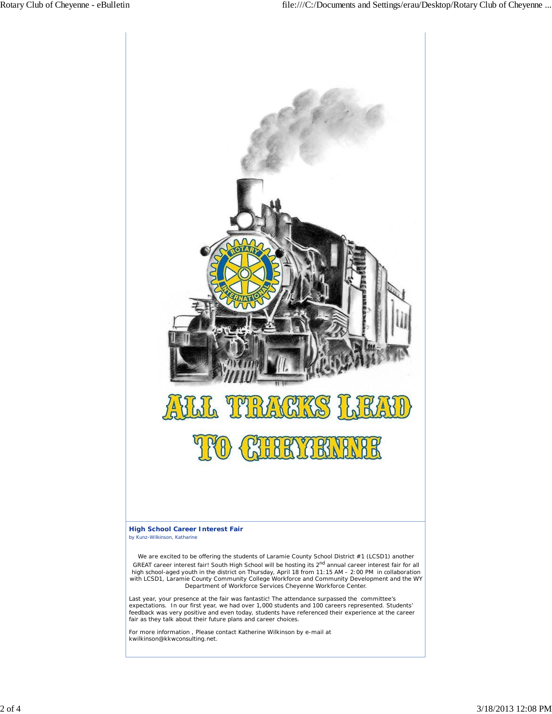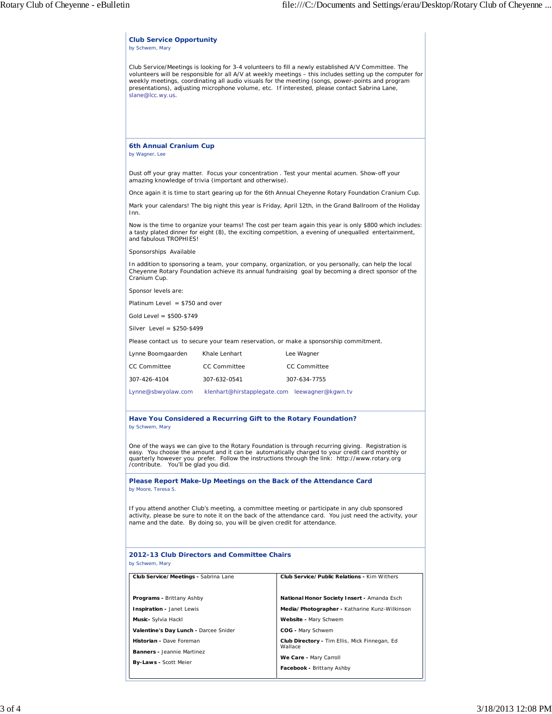| <b>Club Service Opportunity</b><br>by Schwem, Mary                                                                                                                                                                                                                                                                                                                                                                                       |                                                          |  |  |  |
|------------------------------------------------------------------------------------------------------------------------------------------------------------------------------------------------------------------------------------------------------------------------------------------------------------------------------------------------------------------------------------------------------------------------------------------|----------------------------------------------------------|--|--|--|
| Club Service/Meetings is looking for 3-4 volunteers to fill a newly established A/V Committee. The<br>volunteers will be responsible for all A/V at weekly meetings - this includes setting up the computer for<br>weekly meetings, coordinating all audio visuals for the meeting (songs, power-points and program<br>presentations), adjusting microphone volume, etc. If interested, please contact Sabrina Lane,<br>slane@lcc.wy.us. |                                                          |  |  |  |
|                                                                                                                                                                                                                                                                                                                                                                                                                                          |                                                          |  |  |  |
| 6th Annual Cranium Cup<br>by Wagner, Lee                                                                                                                                                                                                                                                                                                                                                                                                 |                                                          |  |  |  |
| Dust off your gray matter. Focus your concentration . Test your mental acumen. Show-off your<br>amazing knowledge of trivia (important and otherwise).                                                                                                                                                                                                                                                                                   |                                                          |  |  |  |
| Once again it is time to start gearing up for the 6th Annual Cheyenne Rotary Foundation Cranium Cup.                                                                                                                                                                                                                                                                                                                                     |                                                          |  |  |  |
| Mark your calendars! The big night this year is Friday, April 12th, in the Grand Ballroom of the Holiday<br>Inn.                                                                                                                                                                                                                                                                                                                         |                                                          |  |  |  |
| Now is the time to organize your teams! The cost per team again this year is only \$800 which includes:<br>a tasty plated dinner for eight (8), the exciting competition, a evening of unequalled entertainment,<br>and fabulous TROPHIES!                                                                                                                                                                                               |                                                          |  |  |  |
| Sponsorships Available                                                                                                                                                                                                                                                                                                                                                                                                                   |                                                          |  |  |  |
| In addition to sponsoring a team, your company, organization, or you personally, can help the local<br>Cheyenne Rotary Foundation achieve its annual fundraising goal by becoming a direct sponsor of the<br>Cranium Cup.                                                                                                                                                                                                                |                                                          |  |  |  |
| Sponsor levels are:                                                                                                                                                                                                                                                                                                                                                                                                                      |                                                          |  |  |  |
| Platinum Level $= $750$ and over                                                                                                                                                                                                                                                                                                                                                                                                         |                                                          |  |  |  |
| Gold Level = $$500-$749$                                                                                                                                                                                                                                                                                                                                                                                                                 |                                                          |  |  |  |
| Silver Level = $$250-$499$                                                                                                                                                                                                                                                                                                                                                                                                               |                                                          |  |  |  |
| Please contact us to secure your team reservation, or make a sponsorship commitment.                                                                                                                                                                                                                                                                                                                                                     |                                                          |  |  |  |
| Lynne Boomgaarden<br>Khale Lenhart                                                                                                                                                                                                                                                                                                                                                                                                       | Lee Wagner                                               |  |  |  |
| <b>CC Committee</b><br><b>CC Committee</b>                                                                                                                                                                                                                                                                                                                                                                                               | <b>CC Committee</b>                                      |  |  |  |
| 307-426-4104<br>307-632-0541                                                                                                                                                                                                                                                                                                                                                                                                             | 307-634-7755                                             |  |  |  |
| Lynne@sbwyolaw.com                                                                                                                                                                                                                                                                                                                                                                                                                       | klenhart@hirstapplegate.com leewagner@kgwn.tv            |  |  |  |
| Have You Considered a Recurring Gift to the Rotary Foundation?<br>by Schwem, Mary                                                                                                                                                                                                                                                                                                                                                        |                                                          |  |  |  |
| One of the ways we can give to the Rotary Foundation is through recurring giving. Registration is<br>easy. You choose the amount and it can be automatically charged to your credit card monthly or<br>quarterly however you prefer. Follow the instructions through the link: http://www.rotary.org<br>/contribute. You'll be glad you did.                                                                                             |                                                          |  |  |  |
| Please Report Make-Up Meetings on the Back of the Attendance Card<br>by Moore, Teresa S.                                                                                                                                                                                                                                                                                                                                                 |                                                          |  |  |  |
| If you attend another Club's meeting, a committee meeting or participate in any club sponsored<br>activity, please be sure to note it on the back of the attendance card. You just need the activity, your<br>name and the date. By doing so, you will be given credit for attendance.                                                                                                                                                   |                                                          |  |  |  |
| 2012-13 Club Directors and Committee Chairs<br>by Schwem, Mary                                                                                                                                                                                                                                                                                                                                                                           |                                                          |  |  |  |
| Club Service/Public Relations - Kim Withers<br>Club Service/Meetings - Sabrina Lane                                                                                                                                                                                                                                                                                                                                                      |                                                          |  |  |  |
| Programs - Brittany Ashby                                                                                                                                                                                                                                                                                                                                                                                                                | National Honor Society Insert - Amanda Esch              |  |  |  |
| Inspiration - Janet Lewis                                                                                                                                                                                                                                                                                                                                                                                                                | Media/Photographer - Katharine Kunz-Wilkinson            |  |  |  |
| Music- Sylvia Hackl                                                                                                                                                                                                                                                                                                                                                                                                                      | Website - Mary Schwem                                    |  |  |  |
| Valentine's Day Lunch - Darcee Snider                                                                                                                                                                                                                                                                                                                                                                                                    | COG - Mary Schwem                                        |  |  |  |
| Historian - Dave Foreman                                                                                                                                                                                                                                                                                                                                                                                                                 | Club Directory - Tim Ellis, Mick Finnegan, Ed<br>Wallace |  |  |  |
| Banners - Jeannie Martinez<br>By-Laws - Scott Meier                                                                                                                                                                                                                                                                                                                                                                                      | We Care - Mary Carroll                                   |  |  |  |
| Facebook - Brittany Ashby                                                                                                                                                                                                                                                                                                                                                                                                                |                                                          |  |  |  |